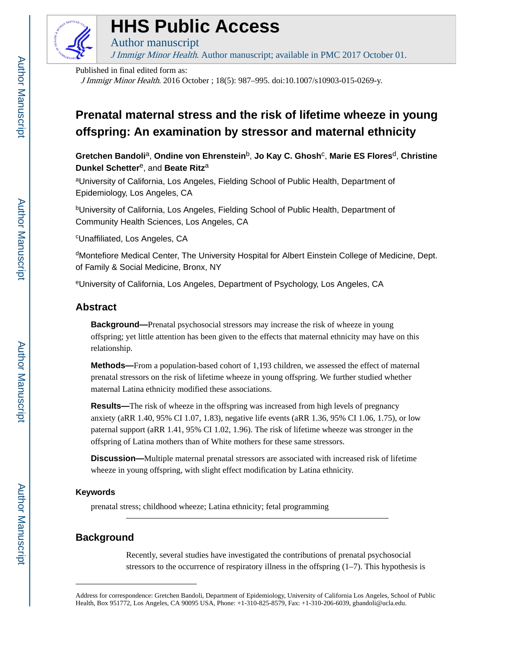

# **HHS Public Access**

Author manuscript

J Immigr Minor Health. Author manuscript; available in PMC 2017 October 01.

Published in final edited form as: J Immigr Minor Health. 2016 October ; 18(5): 987–995. doi:10.1007/s10903-015-0269-y.

# **Prenatal maternal stress and the risk of lifetime wheeze in young offspring: An examination by stressor and maternal ethnicity**

**Gretchen Bandoli**a, **Ondine von Ehrenstein**b, **Jo Kay C. Ghosh**<sup>c</sup> , **Marie ES Flores**d, **Christine Dunkel Schetter**e, and **Beate Ritz**<sup>a</sup>

aUniversity of California, Los Angeles, Fielding School of Public Health, Department of Epidemiology, Los Angeles, CA

bUniversity of California, Los Angeles, Fielding School of Public Health, Department of Community Health Sciences, Los Angeles, CA

<sup>c</sup>Unaffiliated, Los Angeles, CA

<sup>d</sup>Montefiore Medical Center, The University Hospital for Albert Einstein College of Medicine, Dept. of Family & Social Medicine, Bronx, NY

<sup>e</sup>University of California, Los Angeles, Department of Psychology, Los Angeles, CA

# **Abstract**

**Background—**Prenatal psychosocial stressors may increase the risk of wheeze in young offspring; yet little attention has been given to the effects that maternal ethnicity may have on this relationship.

**Methods—**From a population-based cohort of 1,193 children, we assessed the effect of maternal prenatal stressors on the risk of lifetime wheeze in young offspring. We further studied whether maternal Latina ethnicity modified these associations.

**Results—**The risk of wheeze in the offspring was increased from high levels of pregnancy anxiety (aRR 1.40, 95% CI 1.07, 1.83), negative life events (aRR 1.36, 95% CI 1.06, 1.75), or low paternal support (aRR 1.41, 95% CI 1.02, 1.96). The risk of lifetime wheeze was stronger in the offspring of Latina mothers than of White mothers for these same stressors.

**Discussion—**Multiple maternal prenatal stressors are associated with increased risk of lifetime wheeze in young offspring, with slight effect modification by Latina ethnicity.

# **Keywords**

prenatal stress; childhood wheeze; Latina ethnicity; fetal programming

# **Background**

Recently, several studies have investigated the contributions of prenatal psychosocial stressors to the occurrence of respiratory illness in the offspring  $(1–7)$ . This hypothesis is

Address for correspondence: Gretchen Bandoli, Department of Epidemiology, University of California Los Angeles, School of Public Health, Box 951772, Los Angeles, CA 90095 USA, Phone: +1-310-825-8579, Fax: +1-310-206-6039, gbandoli@ucla.edu.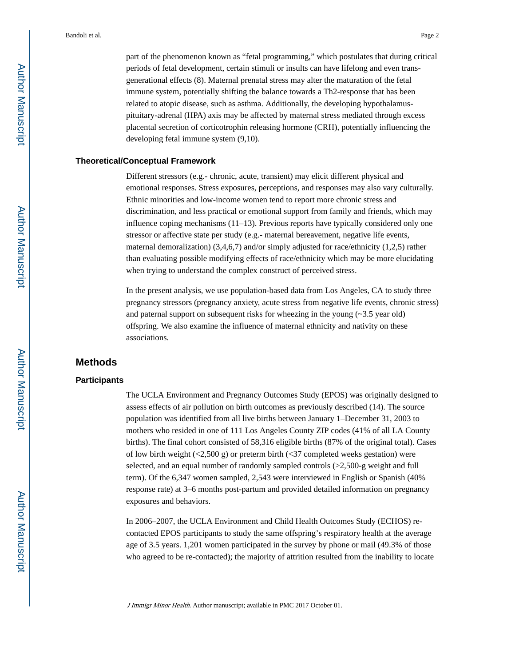part of the phenomenon known as "fetal programming," which postulates that during critical periods of fetal development, certain stimuli or insults can have lifelong and even transgenerational effects (8). Maternal prenatal stress may alter the maturation of the fetal immune system, potentially shifting the balance towards a Th2-response that has been related to atopic disease, such as asthma. Additionally, the developing hypothalamuspituitary-adrenal (HPA) axis may be affected by maternal stress mediated through excess placental secretion of corticotrophin releasing hormone (CRH), potentially influencing the developing fetal immune system (9,10).

## **Theoretical/Conceptual Framework**

Different stressors (e.g.- chronic, acute, transient) may elicit different physical and emotional responses. Stress exposures, perceptions, and responses may also vary culturally. Ethnic minorities and low-income women tend to report more chronic stress and discrimination, and less practical or emotional support from family and friends, which may influence coping mechanisms  $(11-13)$ . Previous reports have typically considered only one stressor or affective state per study (e.g.- maternal bereavement, negative life events, maternal demoralization) (3,4,6,7) and/or simply adjusted for race/ethnicity (1,2,5) rather than evaluating possible modifying effects of race/ethnicity which may be more elucidating when trying to understand the complex construct of perceived stress.

In the present analysis, we use population-based data from Los Angeles, CA to study three pregnancy stressors (pregnancy anxiety, acute stress from negative life events, chronic stress) and paternal support on subsequent risks for wheezing in the young  $(\sim 3.5 \text{ year old})$ offspring. We also examine the influence of maternal ethnicity and nativity on these associations.

#### **Methods**

#### **Participants**

The UCLA Environment and Pregnancy Outcomes Study (EPOS) was originally designed to assess effects of air pollution on birth outcomes as previously described (14). The source population was identified from all live births between January 1–December 31, 2003 to mothers who resided in one of 111 Los Angeles County ZIP codes (41% of all LA County births). The final cohort consisted of 58,316 eligible births (87% of the original total). Cases of low birth weight  $\left( \langle 2,500 \rangle g \right)$  or preterm birth  $\left( \langle 37 \rangle g \right)$  completed weeks gestation) were selected, and an equal number of randomly sampled controls ( $2,500$ -g weight and full term). Of the 6,347 women sampled, 2,543 were interviewed in English or Spanish (40% response rate) at 3–6 months post-partum and provided detailed information on pregnancy exposures and behaviors.

In 2006–2007, the UCLA Environment and Child Health Outcomes Study (ECHOS) recontacted EPOS participants to study the same offspring's respiratory health at the average age of 3.5 years. 1,201 women participated in the survey by phone or mail (49.3% of those who agreed to be re-contacted); the majority of attrition resulted from the inability to locate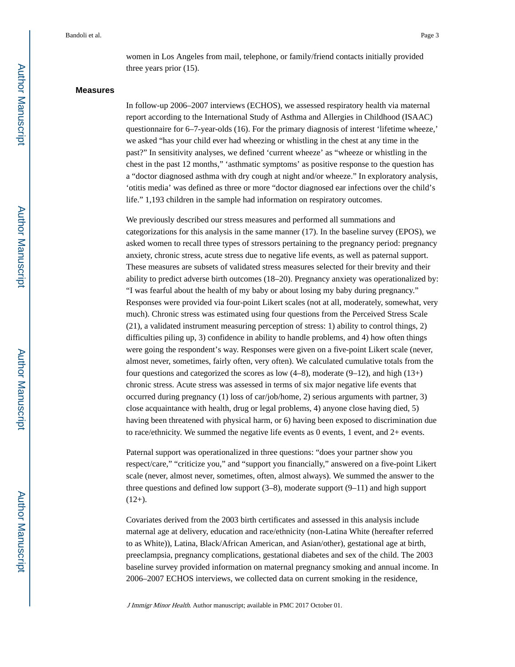women in Los Angeles from mail, telephone, or family/friend contacts initially provided three years prior (15).

#### **Measures**

In follow-up 2006–2007 interviews (ECHOS), we assessed respiratory health via maternal report according to the International Study of Asthma and Allergies in Childhood (ISAAC) questionnaire for 6–7-year-olds (16). For the primary diagnosis of interest 'lifetime wheeze,' we asked "has your child ever had wheezing or whistling in the chest at any time in the past?" In sensitivity analyses, we defined 'current wheeze' as "wheeze or whistling in the chest in the past 12 months," 'asthmatic symptoms' as positive response to the question has a "doctor diagnosed asthma with dry cough at night and/or wheeze." In exploratory analysis, 'otitis media' was defined as three or more "doctor diagnosed ear infections over the child's life." 1,193 children in the sample had information on respiratory outcomes.

We previously described our stress measures and performed all summations and categorizations for this analysis in the same manner (17). In the baseline survey (EPOS), we asked women to recall three types of stressors pertaining to the pregnancy period: pregnancy anxiety, chronic stress, acute stress due to negative life events, as well as paternal support. These measures are subsets of validated stress measures selected for their brevity and their ability to predict adverse birth outcomes (18–20). Pregnancy anxiety was operationalized by: "I was fearful about the health of my baby or about losing my baby during pregnancy." Responses were provided via four-point Likert scales (not at all, moderately, somewhat, very much). Chronic stress was estimated using four questions from the Perceived Stress Scale (21), a validated instrument measuring perception of stress: 1) ability to control things, 2) difficulties piling up, 3) confidence in ability to handle problems, and 4) how often things were going the respondent's way. Responses were given on a five-point Likert scale (never, almost never, sometimes, fairly often, very often). We calculated cumulative totals from the four questions and categorized the scores as low  $(4-8)$ , moderate  $(9-12)$ , and high  $(13+)$ chronic stress. Acute stress was assessed in terms of six major negative life events that occurred during pregnancy (1) loss of car/job/home, 2) serious arguments with partner, 3) close acquaintance with health, drug or legal problems, 4) anyone close having died, 5) having been threatened with physical harm, or 6) having been exposed to discrimination due to race/ethnicity. We summed the negative life events as 0 events, 1 event, and 2+ events.

Paternal support was operationalized in three questions: "does your partner show you respect/care," "criticize you," and "support you financially," answered on a five-point Likert scale (never, almost never, sometimes, often, almost always). We summed the answer to the three questions and defined low support  $(3–8)$ , moderate support  $(9–11)$  and high support  $(12+)$ .

Covariates derived from the 2003 birth certificates and assessed in this analysis include maternal age at delivery, education and race/ethnicity (non-Latina White (hereafter referred to as White)), Latina, Black/African American, and Asian/other), gestational age at birth, preeclampsia, pregnancy complications, gestational diabetes and sex of the child. The 2003 baseline survey provided information on maternal pregnancy smoking and annual income. In 2006–2007 ECHOS interviews, we collected data on current smoking in the residence,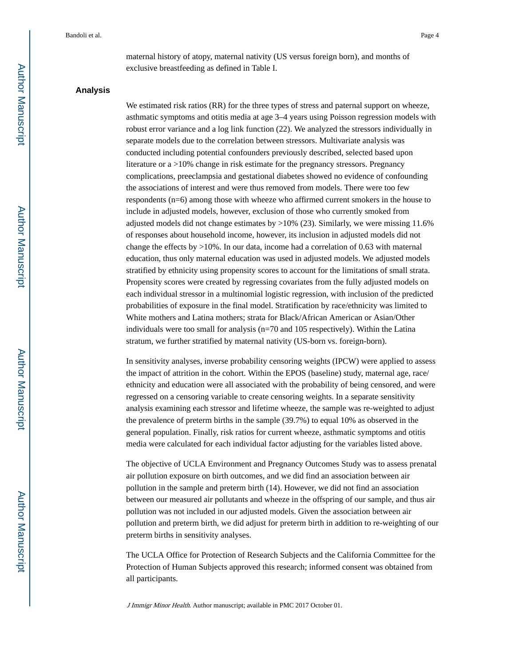maternal history of atopy, maternal nativity (US versus foreign born), and months of exclusive breastfeeding as defined in Table I.

#### **Analysis**

We estimated risk ratios (RR) for the three types of stress and paternal support on wheeze, asthmatic symptoms and otitis media at age 3–4 years using Poisson regression models with robust error variance and a log link function (22). We analyzed the stressors individually in separate models due to the correlation between stressors. Multivariate analysis was conducted including potential confounders previously described, selected based upon literature or a >10% change in risk estimate for the pregnancy stressors. Pregnancy complications, preeclampsia and gestational diabetes showed no evidence of confounding the associations of interest and were thus removed from models. There were too few respondents (n=6) among those with wheeze who affirmed current smokers in the house to include in adjusted models, however, exclusion of those who currently smoked from adjusted models did not change estimates by  $>10\%$  (23). Similarly, we were missing 11.6% of responses about household income, however, its inclusion in adjusted models did not change the effects by  $>10\%$ . In our data, income had a correlation of 0.63 with maternal education, thus only maternal education was used in adjusted models. We adjusted models stratified by ethnicity using propensity scores to account for the limitations of small strata. Propensity scores were created by regressing covariates from the fully adjusted models on each individual stressor in a multinomial logistic regression, with inclusion of the predicted probabilities of exposure in the final model. Stratification by race/ethnicity was limited to White mothers and Latina mothers; strata for Black/African American or Asian/Other individuals were too small for analysis (n=70 and 105 respectively). Within the Latina stratum, we further stratified by maternal nativity (US-born vs. foreign-born).

In sensitivity analyses, inverse probability censoring weights (IPCW) were applied to assess the impact of attrition in the cohort. Within the EPOS (baseline) study, maternal age, race/ ethnicity and education were all associated with the probability of being censored, and were regressed on a censoring variable to create censoring weights. In a separate sensitivity analysis examining each stressor and lifetime wheeze, the sample was re-weighted to adjust the prevalence of preterm births in the sample (39.7%) to equal 10% as observed in the general population. Finally, risk ratios for current wheeze, asthmatic symptoms and otitis media were calculated for each individual factor adjusting for the variables listed above.

The objective of UCLA Environment and Pregnancy Outcomes Study was to assess prenatal air pollution exposure on birth outcomes, and we did find an association between air pollution in the sample and preterm birth (14). However, we did not find an association between our measured air pollutants and wheeze in the offspring of our sample, and thus air pollution was not included in our adjusted models. Given the association between air pollution and preterm birth, we did adjust for preterm birth in addition to re-weighting of our preterm births in sensitivity analyses.

The UCLA Office for Protection of Research Subjects and the California Committee for the Protection of Human Subjects approved this research; informed consent was obtained from all participants.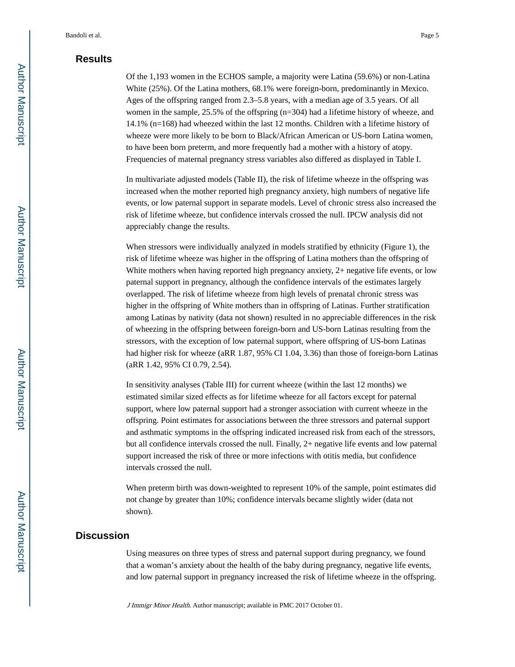# **Results**

Of the 1,193 women in the ECHOS sample, a majority were Latina (59.6%) or non-Latina White (25%). Of the Latina mothers, 68.1% were foreign-born, predominantly in Mexico. Ages of the offspring ranged from 2.3–5.8 years, with a median age of 3.5 years. Of all women in the sample, 25.5% of the offspring (n=304) had a lifetime history of wheeze, and 14.1% (n=168) had wheezed within the last 12 months. Children with a lifetime history of wheeze were more likely to be born to Black/African American or US-born Latina women, to have been born preterm, and more frequently had a mother with a history of atopy. Frequencies of maternal pregnancy stress variables also differed as displayed in Table I.

In multivariate adjusted models (Table II), the risk of lifetime wheeze in the offspring was increased when the mother reported high pregnancy anxiety, high numbers of negative life events, or low paternal support in separate models. Level of chronic stress also increased the risk of lifetime wheeze, but confidence intervals crossed the null. IPCW analysis did not appreciably change the results.

When stressors were individually analyzed in models stratified by ethnicity (Figure 1), the risk of lifetime wheeze was higher in the offspring of Latina mothers than the offspring of White mothers when having reported high pregnancy anxiety, 2+ negative life events, or low paternal support in pregnancy, although the confidence intervals of the estimates largely overlapped. The risk of lifetime wheeze from high levels of prenatal chronic stress was higher in the offspring of White mothers than in offspring of Latinas. Further stratification among Latinas by nativity (data not shown) resulted in no appreciable differences in the risk of wheezing in the offspring between foreign-born and US-born Latinas resulting from the stressors, with the exception of low paternal support, where offspring of US-born Latinas had higher risk for wheeze (aRR 1.87, 95% CI 1.04, 3.36) than those of foreign-born Latinas (aRR 1.42, 95% CI 0.79, 2.54).

In sensitivity analyses (Table III) for current wheeze (within the last 12 months) we estimated similar sized effects as for lifetime wheeze for all factors except for paternal support, where low paternal support had a stronger association with current wheeze in the offspring. Point estimates for associations between the three stressors and paternal support and asthmatic symptoms in the offspring indicated increased risk from each of the stressors, but all confidence intervals crossed the null. Finally, 2+ negative life events and low paternal support increased the risk of three or more infections with otitis media, but confidence intervals crossed the null.

When preterm birth was down-weighted to represent 10% of the sample, point estimates did not change by greater than 10%; confidence intervals became slightly wider (data not shown).

# **Discussion**

Using measures on three types of stress and paternal support during pregnancy, we found that a woman's anxiety about the health of the baby during pregnancy, negative life events, and low paternal support in pregnancy increased the risk of lifetime wheeze in the offspring.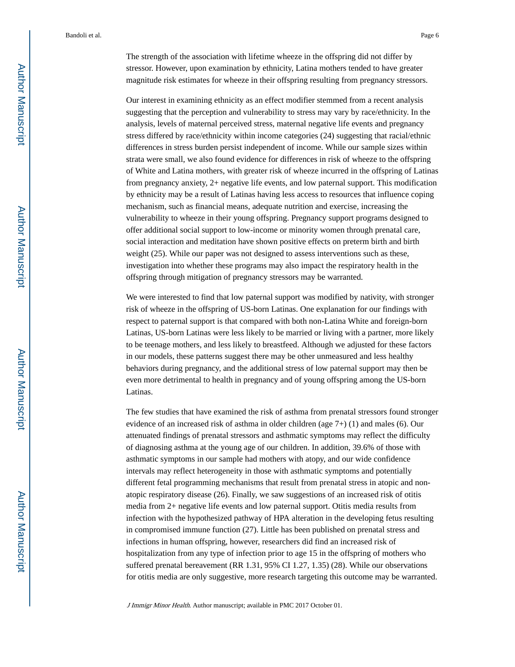The strength of the association with lifetime wheeze in the offspring did not differ by stressor. However, upon examination by ethnicity, Latina mothers tended to have greater magnitude risk estimates for wheeze in their offspring resulting from pregnancy stressors.

Our interest in examining ethnicity as an effect modifier stemmed from a recent analysis suggesting that the perception and vulnerability to stress may vary by race/ethnicity. In the analysis, levels of maternal perceived stress, maternal negative life events and pregnancy stress differed by race/ethnicity within income categories (24) suggesting that racial/ethnic differences in stress burden persist independent of income. While our sample sizes within strata were small, we also found evidence for differences in risk of wheeze to the offspring of White and Latina mothers, with greater risk of wheeze incurred in the offspring of Latinas from pregnancy anxiety, 2+ negative life events, and low paternal support. This modification by ethnicity may be a result of Latinas having less access to resources that influence coping mechanism, such as financial means, adequate nutrition and exercise, increasing the vulnerability to wheeze in their young offspring. Pregnancy support programs designed to offer additional social support to low-income or minority women through prenatal care, social interaction and meditation have shown positive effects on preterm birth and birth weight (25). While our paper was not designed to assess interventions such as these, investigation into whether these programs may also impact the respiratory health in the offspring through mitigation of pregnancy stressors may be warranted.

We were interested to find that low paternal support was modified by nativity, with stronger risk of wheeze in the offspring of US-born Latinas. One explanation for our findings with respect to paternal support is that compared with both non-Latina White and foreign-born Latinas, US-born Latinas were less likely to be married or living with a partner, more likely to be teenage mothers, and less likely to breastfeed. Although we adjusted for these factors in our models, these patterns suggest there may be other unmeasured and less healthy behaviors during pregnancy, and the additional stress of low paternal support may then be even more detrimental to health in pregnancy and of young offspring among the US-born Latinas.

The few studies that have examined the risk of asthma from prenatal stressors found stronger evidence of an increased risk of asthma in older children (age 7+) (1) and males (6). Our attenuated findings of prenatal stressors and asthmatic symptoms may reflect the difficulty of diagnosing asthma at the young age of our children. In addition, 39.6% of those with asthmatic symptoms in our sample had mothers with atopy, and our wide confidence intervals may reflect heterogeneity in those with asthmatic symptoms and potentially different fetal programming mechanisms that result from prenatal stress in atopic and nonatopic respiratory disease (26). Finally, we saw suggestions of an increased risk of otitis media from 2+ negative life events and low paternal support. Otitis media results from infection with the hypothesized pathway of HPA alteration in the developing fetus resulting in compromised immune function (27). Little has been published on prenatal stress and infections in human offspring, however, researchers did find an increased risk of hospitalization from any type of infection prior to age 15 in the offspring of mothers who suffered prenatal bereavement (RR 1.31, 95% CI 1.27, 1.35) (28). While our observations for otitis media are only suggestive, more research targeting this outcome may be warranted.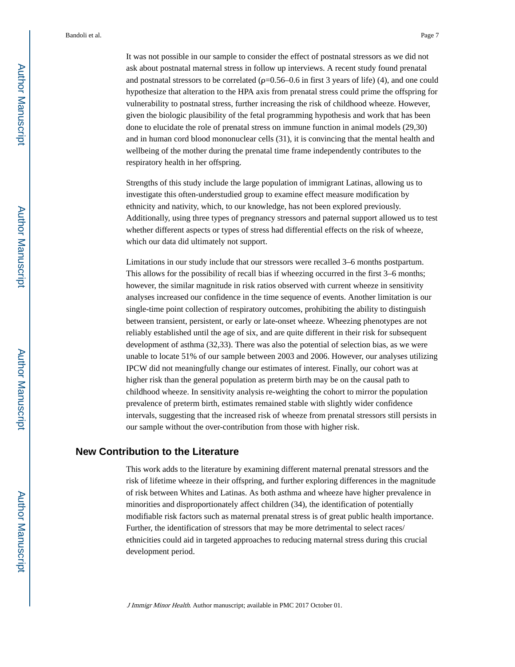ask about postnatal maternal stress in follow up interviews. A recent study found prenatal and postnatal stressors to be correlated  $(\rho=0.56-0.6$  in first 3 years of life) (4), and one could hypothesize that alteration to the HPA axis from prenatal stress could prime the offspring for vulnerability to postnatal stress, further increasing the risk of childhood wheeze. However, given the biologic plausibility of the fetal programming hypothesis and work that has been done to elucidate the role of prenatal stress on immune function in animal models (29,30) and in human cord blood mononuclear cells (31), it is convincing that the mental health and wellbeing of the mother during the prenatal time frame independently contributes to the respiratory health in her offspring.

Strengths of this study include the large population of immigrant Latinas, allowing us to investigate this often-understudied group to examine effect measure modification by ethnicity and nativity, which, to our knowledge, has not been explored previously. Additionally, using three types of pregnancy stressors and paternal support allowed us to test whether different aspects or types of stress had differential effects on the risk of wheeze, which our data did ultimately not support.

Limitations in our study include that our stressors were recalled 3–6 months postpartum. This allows for the possibility of recall bias if wheezing occurred in the first 3–6 months; however, the similar magnitude in risk ratios observed with current wheeze in sensitivity analyses increased our confidence in the time sequence of events. Another limitation is our single-time point collection of respiratory outcomes, prohibiting the ability to distinguish between transient, persistent, or early or late-onset wheeze. Wheezing phenotypes are not reliably established until the age of six, and are quite different in their risk for subsequent development of asthma (32,33). There was also the potential of selection bias, as we were unable to locate 51% of our sample between 2003 and 2006. However, our analyses utilizing IPCW did not meaningfully change our estimates of interest. Finally, our cohort was at higher risk than the general population as preterm birth may be on the causal path to childhood wheeze. In sensitivity analysis re-weighting the cohort to mirror the population prevalence of preterm birth, estimates remained stable with slightly wider confidence intervals, suggesting that the increased risk of wheeze from prenatal stressors still persists in our sample without the over-contribution from those with higher risk.

# **New Contribution to the Literature**

This work adds to the literature by examining different maternal prenatal stressors and the risk of lifetime wheeze in their offspring, and further exploring differences in the magnitude of risk between Whites and Latinas. As both asthma and wheeze have higher prevalence in minorities and disproportionately affect children (34), the identification of potentially modifiable risk factors such as maternal prenatal stress is of great public health importance. Further, the identification of stressors that may be more detrimental to select races/ ethnicities could aid in targeted approaches to reducing maternal stress during this crucial development period.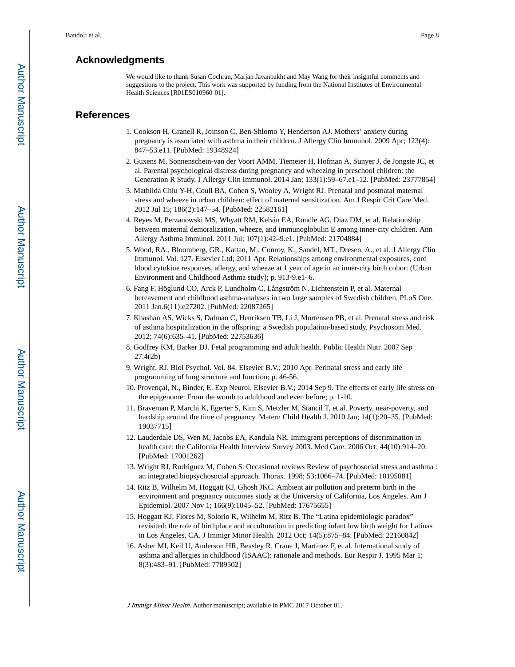# **Acknowledgments**

We would like to thank Susan Cochran, Marjan Javanbakht and May Wang for their insightful comments and suggestions to the project. This work was supported by funding from the National Institutes of Environmental Health Sciences [R01ES010960-01].

## **References**

- 1. Cookson H, Granell R, Joinson C, Ben-Shlomo Y, Henderson AJ. Mothers' anxiety during pregnancy is associated with asthma in their children. J Allergy Clin Immunol. 2009 Apr; 123(4): 847–53.e11. [PubMed: 19348924]
- 2. Guxens M, Sonnenschein-van der Voort AMM, Tiemeier H, Hofman A, Sunyer J, de Jongste JC, et al. Parental psychological distress during pregnancy and wheezing in preschool children: the Generation R Study. J Allergy Clin Immunol. 2014 Jan; 133(1):59–67.e1–12. [PubMed: 23777854]
- 3. Mathilda Chiu Y-H, Coull BA, Cohen S, Wooley A, Wright RJ. Prenatal and postnatal maternal stress and wheeze in urban children: effect of maternal sensitization. Am J Respir Crit Care Med. 2012 Jul 15; 186(2):147–54. [PubMed: 22582161]
- 4. Reyes M, Perzanowski MS, Whyatt RM, Kelvin EA, Rundle AG, Diaz DM, et al. Relationship between maternal demoralization, wheeze, and immunoglobulin E among inner-city children. Ann Allergy Asthma Immunol. 2011 Jul; 107(1):42–9.e1. [PubMed: 21704884]
- 5. Wood, RA., Bloomberg, GR., Kattan, M., Conroy, K., Sandel, MT., Dresen, A., et al. J Allergy Clin Immunol. Vol. 127. Elsevier Ltd; 2011 Apr. Relationships among environmental exposures, cord blood cytokine responses, allergy, and wheeze at 1 year of age in an inner-city birth cohort (Urban Environment and Childhood Asthma study); p. 913-9.e1–6.
- 6. Fang F, Höglund CO, Arck P, Lundholm C, Långström N, Lichtenstein P, et al. Maternal bereavement and childhood asthma-analyses in two large samples of Swedish children. PLoS One. 2011 Jan.6(11):e27202. [PubMed: 22087265]
- 7. Khashan AS, Wicks S, Dalman C, Henriksen TB, Li J, Mortensen PB, et al. Prenatal stress and risk of asthma hospitalization in the offspring: a Swedish population-based study. Psychosom Med. 2012; 74(6):635–41. [PubMed: 22753636]
- 8. Godfrey KM, Barker DJ. Fetal programming and adult health. Public Health Nutr. 2007 Sep 27.4(2b)
- 9. Wright, RJ. Biol Psychol. Vol. 84. Elsevier B.V.; 2010 Apr. Perinatal stress and early life programming of lung structure and function; p. 46-56.
- 10. Provençal, N., Binder, E. Exp Neurol. Elsevier B.V.; 2014 Sep 9. The effects of early life stress on the epigenome: From the womb to adulthood and even before; p. 1-10.
- 11. Braveman P, Marchi K, Egerter S, Kim S, Metzler M, Stancil T, et al. Poverty, near-poverty, and hardship around the time of pregnancy. Matern Child Health J. 2010 Jan; 14(1):20–35. [PubMed: 19037715]
- 12. Lauderdale DS, Wen M, Jacobs EA, Kandula NR. Immigrant perceptions of discrimination in health care: the California Health Interview Survey 2003. Med Care. 2006 Oct; 44(10):914–20. [PubMed: 17001262]
- 13. Wright RJ, Rodriguez M, Cohen S. Occasional reviews Review of psychosocial stress and asthma : an integrated biopsychosocial approach. Thorax. 1998; 53:1066–74. [PubMed: 10195081]
- 14. Ritz B, Wilhelm M, Hoggatt KJ, Ghosh JKC. Ambient air pollution and preterm birth in the environment and pregnancy outcomes study at the University of California, Los Angeles. Am J Epidemiol. 2007 Nov 1; 166(9):1045–52. [PubMed: 17675655]
- 15. Hoggatt KJ, Flores M, Solorio R, Wilhelm M, Ritz B. The "Latina epidemiologic paradox" revisited: the role of birthplace and acculturation in predicting infant low birth weight for Latinas in Los Angeles, CA. J Immigr Minor Health. 2012 Oct; 14(5):875–84. [PubMed: 22160842]
- 16. Asher MI, Keil U, Anderson HR, Beasley R, Crane J, Martinez F, et al. International study of asthma and allergies in childhood (ISAAC): rationale and methods. Eur Respir J. 1995 Mar 1; 8(3):483–91. [PubMed: 7789502]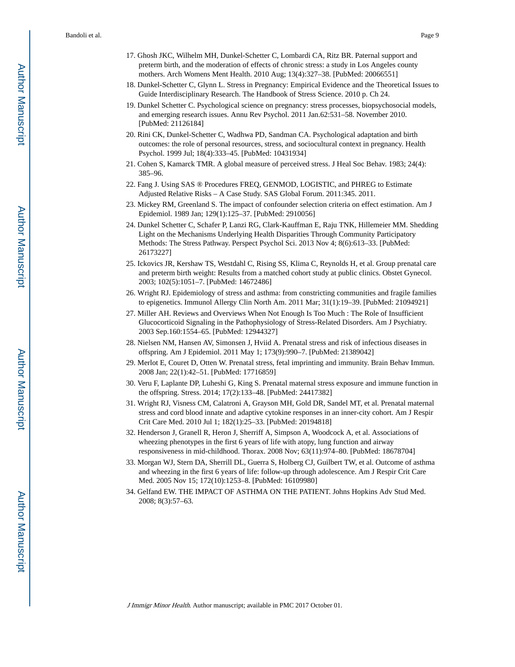- 17. Ghosh JKC, Wilhelm MH, Dunkel-Schetter C, Lombardi CA, Ritz BR. Paternal support and preterm birth, and the moderation of effects of chronic stress: a study in Los Angeles county mothers. Arch Womens Ment Health. 2010 Aug; 13(4):327–38. [PubMed: 20066551]
- 18. Dunkel-Schetter C, Glynn L. Stress in Pregnancy: Empirical Evidence and the Theoretical Issues to Guide Interdisciplinary Research. The Handbook of Stress Science. 2010 p. Ch 24.
- 19. Dunkel Schetter C. Psychological science on pregnancy: stress processes, biopsychosocial models, and emerging research issues. Annu Rev Psychol. 2011 Jan.62:531–58. November 2010. [PubMed: 21126184]
- 20. Rini CK, Dunkel-Schetter C, Wadhwa PD, Sandman CA. Psychological adaptation and birth outcomes: the role of personal resources, stress, and sociocultural context in pregnancy. Health Psychol. 1999 Jul; 18(4):333–45. [PubMed: 10431934]
- 21. Cohen S, Kamarck TMR. A global measure of perceived stress. J Heal Soc Behav. 1983; 24(4): 385–96.
- 22. Fang J. Using SAS ® Procedures FREQ, GENMOD, LOGISTIC, and PHREG to Estimate Adjusted Relative Risks – A Case Study. SAS Global Forum. 2011:345. 2011.
- 23. Mickey RM, Greenland S. The impact of confounder selection criteria on effect estimation. Am J Epidemiol. 1989 Jan; 129(1):125–37. [PubMed: 2910056]
- 24. Dunkel Schetter C, Schafer P, Lanzi RG, Clark-Kauffman E, Raju TNK, Hillemeier MM. Shedding Light on the Mechanisms Underlying Health Disparities Through Community Participatory Methods: The Stress Pathway. Perspect Psychol Sci. 2013 Nov 4; 8(6):613–33. [PubMed: 26173227]
- 25. Ickovics JR, Kershaw TS, Westdahl C, Rising SS, Klima C, Reynolds H, et al. Group prenatal care and preterm birth weight: Results from a matched cohort study at public clinics. Obstet Gynecol. 2003; 102(5):1051–7. [PubMed: 14672486]
- 26. Wright RJ. Epidemiology of stress and asthma: from constricting communities and fragile families to epigenetics. Immunol Allergy Clin North Am. 2011 Mar; 31(1):19–39. [PubMed: 21094921]
- 27. Miller AH. Reviews and Overviews When Not Enough Is Too Much : The Role of Insufficient Glucocorticoid Signaling in the Pathophysiology of Stress-Related Disorders. Am J Psychiatry. 2003 Sep.160:1554–65. [PubMed: 12944327]
- 28. Nielsen NM, Hansen AV, Simonsen J, Hviid A. Prenatal stress and risk of infectious diseases in offspring. Am J Epidemiol. 2011 May 1; 173(9):990–7. [PubMed: 21389042]
- 29. Merlot E, Couret D, Otten W. Prenatal stress, fetal imprinting and immunity. Brain Behav Immun. 2008 Jan; 22(1):42–51. [PubMed: 17716859]
- 30. Veru F, Laplante DP, Luheshi G, King S. Prenatal maternal stress exposure and immune function in the offspring. Stress. 2014; 17(2):133–48. [PubMed: 24417382]
- 31. Wright RJ, Visness CM, Calatroni A, Grayson MH, Gold DR, Sandel MT, et al. Prenatal maternal stress and cord blood innate and adaptive cytokine responses in an inner-city cohort. Am J Respir Crit Care Med. 2010 Jul 1; 182(1):25–33. [PubMed: 20194818]
- 32. Henderson J, Granell R, Heron J, Sherriff A, Simpson A, Woodcock A, et al. Associations of wheezing phenotypes in the first 6 years of life with atopy, lung function and airway responsiveness in mid-childhood. Thorax. 2008 Nov; 63(11):974–80. [PubMed: 18678704]
- 33. Morgan WJ, Stern DA, Sherrill DL, Guerra S, Holberg CJ, Guilbert TW, et al. Outcome of asthma and wheezing in the first 6 years of life: follow-up through adolescence. Am J Respir Crit Care Med. 2005 Nov 15; 172(10):1253–8. [PubMed: 16109980]
- 34. Gelfand EW. THE IMPACT OF ASTHMA ON THE PATIENT. Johns Hopkins Adv Stud Med. 2008; 8(3):57–63.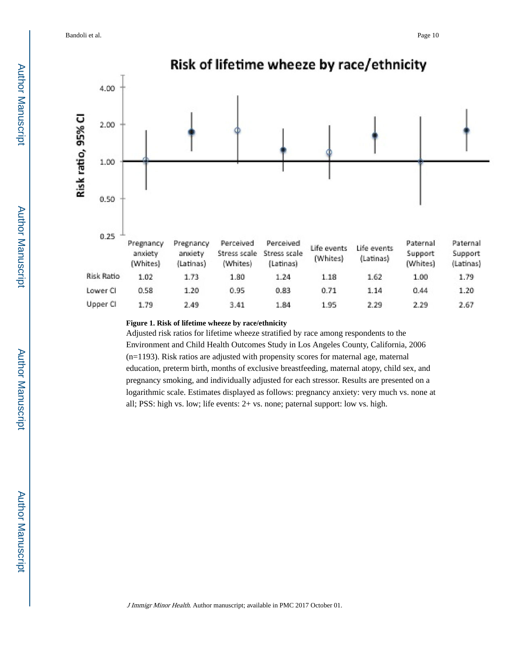Bandoli et al. Page 10



## **Figure 1. Risk of lifetime wheeze by race/ethnicity**

Adjusted risk ratios for lifetime wheeze stratified by race among respondents to the Environment and Child Health Outcomes Study in Los Angeles County, California, 2006 (n=1193). Risk ratios are adjusted with propensity scores for maternal age, maternal education, preterm birth, months of exclusive breastfeeding, maternal atopy, child sex, and pregnancy smoking, and individually adjusted for each stressor. Results are presented on a logarithmic scale. Estimates displayed as follows: pregnancy anxiety: very much vs. none at all; PSS: high vs. low; life events: 2+ vs. none; paternal support: low vs. high.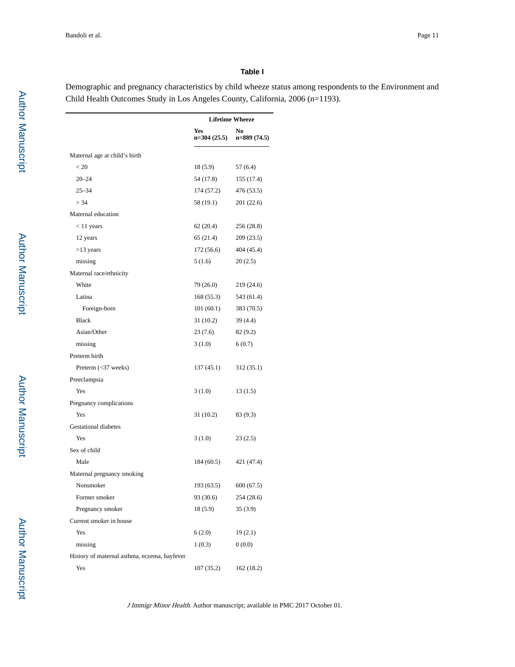#### **Table I**

Demographic and pregnancy characteristics by child wheeze status among respondents to the Environment and Child Health Outcomes Study in Los Angeles County, California, 2006 (n=1193).

|                                              |                      | <b>Lifetime Wheeze</b> |
|----------------------------------------------|----------------------|------------------------|
|                                              | Yes<br>$n=304(25.5)$ | No<br>$n=889(74.5)$    |
| Maternal age at child's birth                |                      |                        |
| < 20                                         | 18(5.9)              | 57(6.4)                |
| $20 - 24$                                    | 54 (17.8)            | 155 (17.4)             |
| $25 - 34$                                    | 174 (57.2)           | 476 (53.5)             |
| > 34                                         | 58 (19.1)            | 201 (22.6)             |
| Maternal education                           |                      |                        |
| $<$ 11 years                                 | 62 (20.4)            | 256 (28.8)             |
| 12 years                                     | 65 (21.4)            | 209 (23.5)             |
| $>13$ years                                  | 172(56.6)            | 404 (45.4)             |
| missing                                      | 5(1.6)               | 20(2.5)                |
| Maternal race/ethnicity                      |                      |                        |
| White                                        | 79 (26.0)            | 219 (24.6)             |
| Latina                                       | 168 (55.3)           | 543 (61.4)             |
| Foreign-born                                 | 101(60.1)            | 383 (70.5)             |
| <b>Black</b>                                 | 31 (10.2)            | 39 (4.4)               |
| Asian/Other                                  | 23(7.6)              | 82(9.2)                |
| missing                                      | 3(1.0)               | 6(0.7)                 |
| Preterm birth                                |                      |                        |
| Preterm (<37 weeks)                          | 137 (45.1)           | 312 (35.1)             |
| Preeclampsia                                 |                      |                        |
| Yes                                          | 3(1.0)               | 13(1.5)                |
| Pregnancy complications                      |                      |                        |
| Yes                                          | 31 (10.2)            | 83 (9.3)               |
| <b>Gestational diabetes</b>                  |                      |                        |
| Yes                                          | 3(1.0)               | 23(2.5)                |
| Sex of child                                 |                      |                        |
| Male                                         | 184 (60.5)           | 421 (47.4)             |
| Maternal pregnancy smoking                   |                      |                        |
| Nonsmoker                                    | 193 (63.5)           | 600(67.5)              |
| Former smoker                                | 93 (30.6)            | 254 (28.6)             |
| Pregnancy smoker                             | 18(5.9)              | 35(3.9)                |
| Current smoker in house                      |                      |                        |
| Yes                                          | 6(2.0)               | 19(2.1)                |
| missing                                      | 1(0.3)               | 0(0.0)                 |
| History of maternal asthma, eczema, hayfever |                      |                        |
| Yes                                          | 107 (35.2)           | 162 (18.2)             |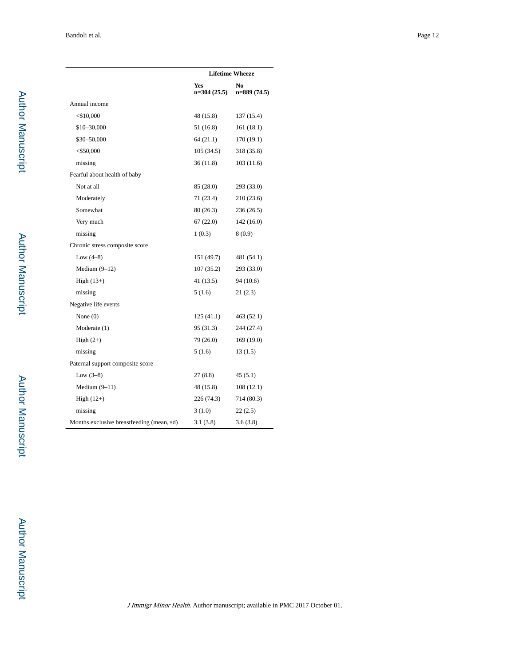|                                           |                      | <b>Lifetime Wheeze</b> |
|-------------------------------------------|----------------------|------------------------|
|                                           | Yes<br>$n=304(25.5)$ | No<br>$n=889(74.5)$    |
| Annual income                             |                      |                        |
| $<$ \$10,000                              | 48 (15.8)            | 137 (15.4)             |
| \$10-30,000                               | 51 (16.8)            | 161(18.1)              |
| \$30-50,000                               | 64 (21.1)            | 170 (19.1)             |
| $<$ \$50,000                              | 105(34.5)            | 318 (35.8)             |
| missing                                   | 36(11.8)             | 103(11.6)              |
| Fearful about health of baby              |                      |                        |
| Not at all                                | 85 (28.0)            | 293 (33.0)             |
| Moderately                                | 71 (23.4)            | 210 (23.6)             |
| Somewhat                                  | 80 (26.3)            | 236 (26.5)             |
| Very much                                 | 67(22.0)             | 142 (16.0)             |
| missing                                   | 1(0.3)               | 8 (0.9)                |
| Chronic stress composite score            |                      |                        |
| Low $(4-8)$                               | 151 (49.7)           | 481 (54.1)             |
| Medium $(9-12)$                           | 107(35.2)            | 293 (33.0)             |
| High $(13+)$                              | 41(13.5)             | 94 (10.6)              |
| missing                                   | 5(1.6)               | 21(2.3)                |
| Negative life events                      |                      |                        |
| None $(0)$                                | 125(41.1)            | 463 (52.1)             |
| Moderate (1)                              | 95 (31.3)            | 244 (27.4)             |
| High $(2+)$                               | 79 (26.0)            | 169 (19.0)             |
| missing                                   | 5(1.6)               | 13(1.5)                |
| Paternal support composite score          |                      |                        |
| Low $(3-8)$                               | 27 (8.8)             | 45(5.1)                |
| Medium $(9-11)$                           | 48 (15.8)            | 108(12.1)              |
| High $(12+)$                              | 226 (74.3)           | 714 (80.3)             |
| missing                                   | 3(1.0)               | 22(2.5)                |
| Months exclusive breastfeeding (mean, sd) | 3.1(3.8)             | 3.6(3.8)               |

 Author Manuscript**Author Manuscript**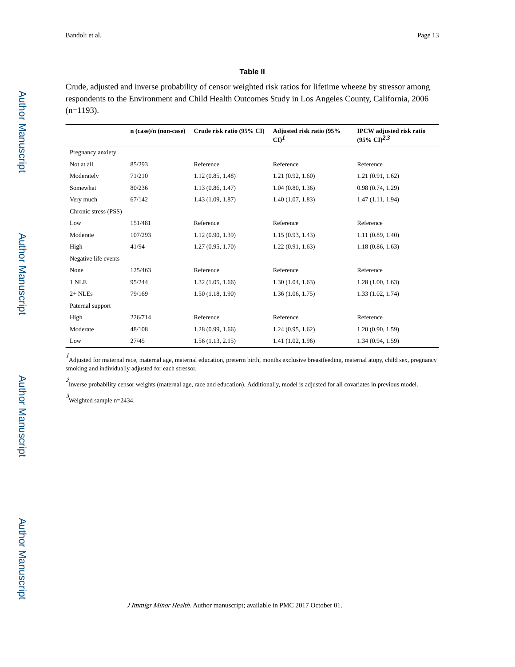#### **Table II**

Crude, adjusted and inverse probability of censor weighted risk ratios for lifetime wheeze by stressor among respondents to the Environment and Child Health Outcomes Study in Los Angeles County, California, 2006 (n=1193).

|                      | n (case)/n (non-case) | Crude risk ratio (95% CI) | Adjusted risk ratio (95%<br>$CD^I$ | <b>IPCW</b> adjusted risk ratio<br>$(95\% \text{ CI})^{2,3}$ |
|----------------------|-----------------------|---------------------------|------------------------------------|--------------------------------------------------------------|
| Pregnancy anxiety    |                       |                           |                                    |                                                              |
| Not at all           | 85/293                | Reference                 | Reference                          | Reference                                                    |
| Moderately           | 71/210                | 1.12(0.85, 1.48)          | 1.21(0.92, 1.60)                   | 1.21(0.91, 1.62)                                             |
| Somewhat             | 80/236                | 1.13(0.86, 1.47)          | 1.04(0.80, 1.36)                   | 0.98(0.74, 1.29)                                             |
| Very much            | 67/142                | 1.43(1.09, 1.87)          | 1.40(1.07, 1.83)                   | 1.47(1.11, 1.94)                                             |
| Chronic stress (PSS) |                       |                           |                                    |                                                              |
| Low                  | 151/481               | Reference                 | Reference                          | Reference                                                    |
| Moderate             | 107/293               | 1.12(0.90, 1.39)          | 1.15(0.93, 1.43)                   | 1.11(0.89, 1.40)                                             |
| High                 | 41/94                 | 1.27(0.95, 1.70)          | 1.22(0.91, 1.63)                   | 1.18(0.86, 1.63)                                             |
| Negative life events |                       |                           |                                    |                                                              |
| None                 | 125/463               | Reference                 | Reference                          | Reference                                                    |
| 1 NLE                | 95/244                | 1.32(1.05, 1.66)          | 1.30(1.04, 1.63)                   | 1.28(1.00, 1.63)                                             |
| $2+$ NLEs            | 79/169                | 1.50(1.18, 1.90)          | 1.36(1.06, 1.75)                   | 1.33(1.02, 1.74)                                             |
| Paternal support     |                       |                           |                                    |                                                              |
| High                 | 226/714               | Reference                 | Reference                          | Reference                                                    |
| Moderate             | 48/108                | 1.28(0.99, 1.66)          | 1.24(0.95, 1.62)                   | 1.20(0.90, 1.59)                                             |
| Low                  | 27/45                 | 1.56(1.13, 2.15)          | 1.41(1.02, 1.96)                   | 1.34(0.94, 1.59)                                             |

1 Adjusted for maternal race, maternal age, maternal education, preterm birth, months exclusive breastfeeding, maternal atopy, child sex, pregnancy smoking and individually adjusted for each stressor.

 $2$  Inverse probability censor weights (maternal age, race and education). Additionally, model is adjusted for all covariates in previous model.

 $\beta$ Weighted sample n=2434.